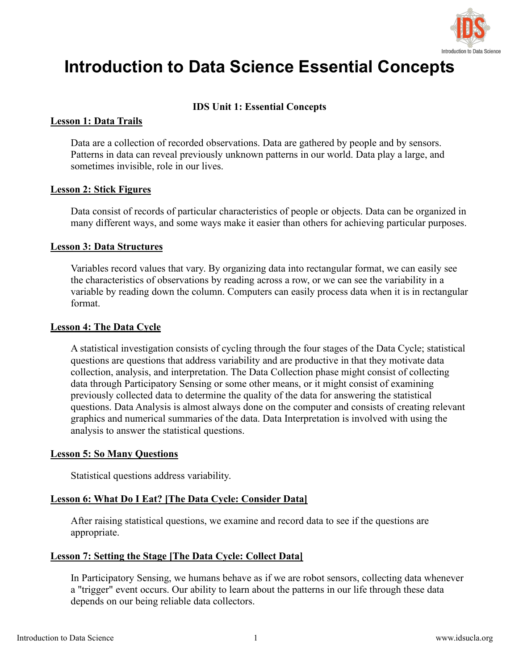

# **Introduction to Data Science Essential Concepts**

# **IDS Unit 1: Essential Concepts**

# **Lesson 1: Data Trails**

Data are a collection of recorded observations. Data are gathered by people and by sensors. Patterns in data can reveal previously unknown patterns in our world. Data play a large, and sometimes invisible, role in our lives.

#### **Lesson 2: Stick Figures**

Data consist of records of particular characteristics of people or objects. Data can be organized in many different ways, and some ways make it easier than others for achieving particular purposes.

#### **Lesson 3: Data Structures**

Variables record values that vary. By organizing data into rectangular format, we can easily see the characteristics of observations by reading across a row, or we can see the variability in a variable by reading down the column. Computers can easily process data when it is in rectangular format.

#### **Lesson 4: The Data Cycle**

A statistical investigation consists of eveling through the four stages of the Data Cycle; statistical questions are questions that address variability and are productive in that they motivate data collection, analysis, and interpretation. The Data Collection phase might consist of collecting data through Participatory Sensing or some other means, or it might consist of examining previously collected data to determine the quality of the data for answering the statistical questions. Data Analysis is almost always done on the computer and consists of creating relevant graphics and numerical summaries of the data. Data Interpretation is involved with using the analysis to answer the statistical questions.

#### **Lesson 5: So Many Questions**

Statistical questions address variability.

# **Lesson 6: What Do I Eat? [The Data Cycle: Consider Data]**

After raising statistical questions, we examine and record data to see if the questions are appropriate.

# **Lesson 7: Setting the Stage [The Data Cycle: Collect Data]**

In Participatory Sensing, we humans behave as if we are robot sensors, collecting data whenever a "trigger" event occurs. Our ability to learn about the patterns in our life through these data depends on our being reliable data collectors.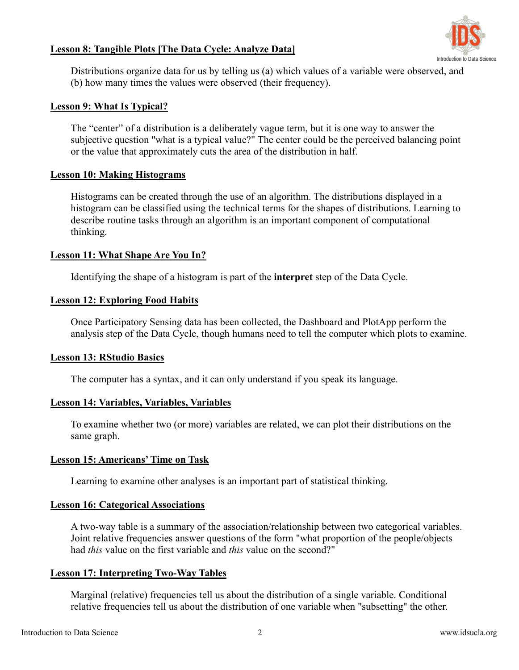

# **Lesson 8: Tangible Plots [The Data Cycle: Analyze Data]**

Distributions organize data for us by telling us (a) which values of a variable were observed, and (b) how many times the values were observed (their frequency).

#### **Lesson 9: What Is Typical?**

The "center" of a distribution is a deliberately vague term, but it is one way to answer the subjective question "what is a typical value?" The center could be the perceived balancing point or the value that approximately cuts the area of the distribution in half.

#### **Lesson 10: Making Histograms**

Histograms can be created through the use of an algorithm. The distributions displayed in a histogram can be classified using the technical terms for the shapes of distributions. Learning to describe routine tasks through an algorithm is an important component of computational thinking.

#### **Lesson 11: What Shape Are You In?**

Identifying the shape of a histogram is part of the **interpret** step of the Data Cycle.

#### **Lesson 12: Exploring Food Habits**

Once Participatory Sensing data has been collected, the Dashboard and PlotApp perform the analysis step of the Data Cycle, though humans need to tell the computer which plots to examine.

# **Lesson 13: RStudio Basics**

The computer has a syntax, and it can only understand if you speak its language.

# **Lesson 14: Variables, Variables, Variables**

To examine whether two (or more) variables are related, we can plot their distributions on the same graph.

# **Lesson 15: Americans'Time on Task**

Learning to examine other analyses is an important part of statistical thinking.

#### **Lesson 16: Categorical Associations**

A two-way table is a summary of the association/relationship between two categorical variables. Joint relative frequencies answer questions of the form "what proportion of the people/objects had *this* value on the first variable and *this* value on the second?"

# **Lesson 17: Interpreting Two-Way Tables**

Marginal (relative) frequencies tell us about the distribution of a single variable. Conditional relative frequencies tell us about the distribution of one variable when "subsetting" the other.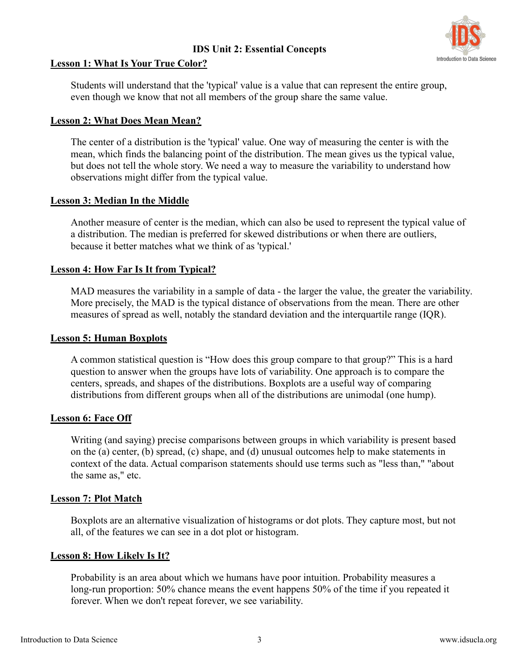# **IDS Unit 2: Essential Concepts**



# **Lesson 1: What Is Your True Color?**

Students will understand that the 'typical' value is a value that can represent the entire group, even though we know that not all members of the group share the same value.

# **Lesson 2: What Does Mean Mean?**

The center of a distribution is the 'typical' value. One way of measuring the center is with the mean, which finds the balancing point of the distribution. The mean gives us the typical value, but does not tell the whole story. We need a way to measure the variability to understand how observations might differ from the typical value.

# **Lesson 3: Median In the Middle**

Another measure of center is the median, which can also be used to represent the typical value of a distribution. The median is preferred for skewed distributions orwhen there are outliers, because it better matches what we think of as'typical.'

# **Lesson 4: How Far IsIt from Typical?**

MAD measures the variability in a sample of data - the larger the value, the greater the variability. More precisely, the MAD is the typical distance of observations from the mean. There are other measures of spread as well, notably the standard deviation and the interquartile range (IQR).

# **Lesson 5: Human Boxplots**

A common statistical question is "How does this group compare to that group?" This is a hard question to answer when the groups have lots of variability. One approach is to compare the centers, spreads, and shapes of the distributions. Boxplots are a useful way of comparing distributions from different groups when all of the distributions are unimodal (one hump).

# **Lesson 6: Face Off**

Writing (and saying) precise comparisons between groups in which variability is present based on the (a) center, (b) spread, (c) shape, and (d) unusual outcomes help to make statements in context of the data. Actual comparison statements should use terms such as "less than," "about the same as," etc.

# **Lesson 7: Plot Match**

Boxplots are an alternative visualization of histograms or dot plots. They capture most, but not all, of the features we can see in a dot plot or histogram.

# **Lesson 8: How Likely Is It?**

Probability is an area about which we humans have poor intuition. Probability measures a long-run proportion: 50% chance means the event happens 50% of the time if you repeated it forever. When we don't repeat forever, we see variability.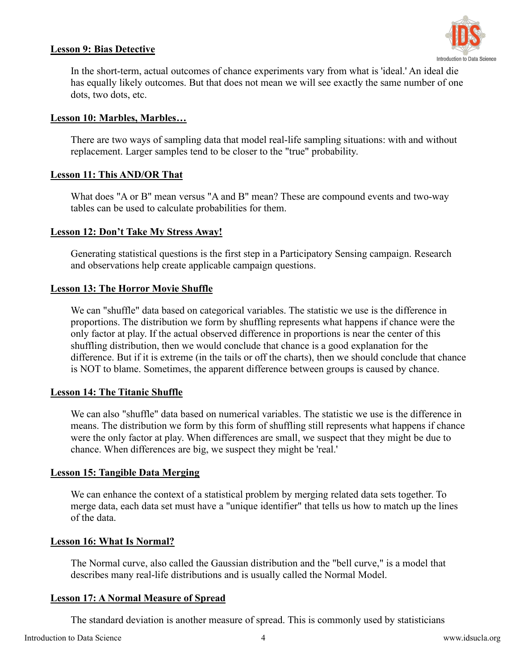# **Lesson 9: Bias Detective**



In the short-term, actual outcomes of chance experiments vary from what is 'ideal.' An ideal die has equally likely outcomes. But that does not mean we will see exactly the same number of one dots, two dots, etc.

# **Lesson 10: Marbles, Marbles…**

There are two ways of sampling data that model real-life sampling situations: with and without replacement. Larger samples tend to be closer to the "true" probability.

# **Lesson 11: This AND/OR That**

What does "A or B" mean versus "A and B" mean? These are compound events and two-way tables can be used to calculate probabilities for them.

# **Lesson 12: Don'tTake My Stress Away!**

Generating statistical questions is the first step in a Participatory Sensing campaign. Research and observations help create applicable campaign questions.

# **Lesson 13: The Horror Movie Shuffle**

We can "shuffle" data based on categorical variables. The statistic we use is the difference in proportions. The distribution we form by shuffling represents what happens if chance were the only factor at play. If the actual observed difference in proportions is near the center of this shuffling distribution, then we would conclude that chance is a good explanation for the difference. But if it is extreme (in the tails oroff the charts), then we should conclude that chance is NOT to blame. Sometimes, the apparent difference between groups is caused by chance.

# **Lesson 14: The Titanic Shuffle**

We can also "shuffle" data based on numerical variables. The statistic we use is the difference in means. The distribution we form by this form of shuffling still represents what happens if chance were the only factor at play. When differences are small, we suspect that they might be due to chance. When differences are big, we suspect they might be 'real.'

# **Lesson 15: Tangible Data Merging**

We can enhance the context of a statistical problem by merging related data sets together. To merge data, each data set must have a "unique identifier" that tells us how to match up the lines of the data.

# **Lesson 16: What Is Normal?**

The Normal curve, also called the Gaussian distribution and the "bell curve," is a model that describes many real-life distributions and is usually called the Normal Model.

# **Lesson 17: A Normal Measure of Spread**

The standard deviation is another measure of spread. This is commonly used by statisticians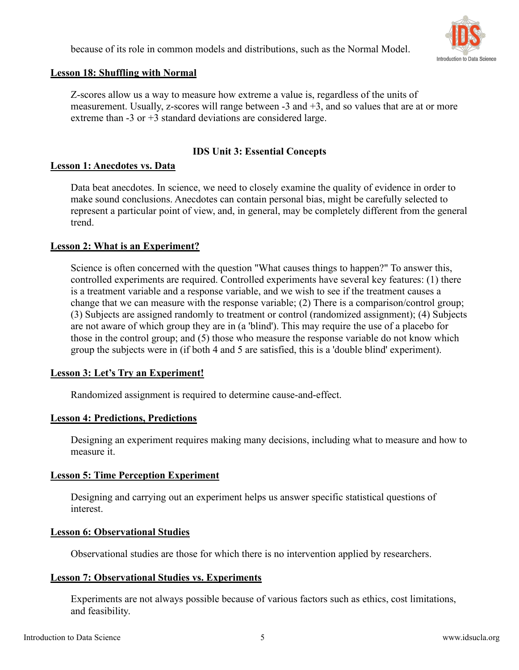because of its role in common models and distributions, such as the Normal Model.



# **Lesson 18: Shuffling with Normal**

Z-scores allow us a way to measure how extreme a value is, regardless of the units of measurement. Usually, z-scores will range between  $-3$  and  $+3$ , and so values that are at or more extreme than -3 or +3 standard deviations are considered large.

# **IDS Unit 3: Essential Concepts**

# **Lesson 1: Anecdotes vs. Data**

Data beat anecdotes. In science, we need to closely examine the quality of evidence in order to make sound conclusions. Anecdotes can contain personal bias, might be carefully selected to represent a particular point of view, and, in general, may be completely different from the general trend.

# **Lesson 2: What is an Experiment?**

Science is often concerned with the question "What causes things to happen?" To answer this, controlled experiments are required. Controlled experiments have several key features: (1) there is a treatment variable and a response variable, and we wish to see if the treatment causes a change that we can measure with the response variable; (2) There is a comparison/control group; (3) Subjects are assigned randomly to treatment or control (randomized assignment); (4) Subjects are not aware of which group they are in (a 'blind'). This may require the use of a placebo for those in the control group; and (5) those who measure the response variable do not know which group the subjects were in (if both 4 and 5 are satisfied, this is a 'double blind' experiment).

# **Lesson 3: Let's Try an Experiment!**

Randomized assignment is required to determine cause-and-effect.

# **Lesson 4: Predictions, Predictions**

Designing an experiment requires making many decisions, including what to measure and how to measure it.

# **Lesson 5: Time Perception Experiment**

Designing and carrying out an experiment helps us answer specific statistical questions of interest.

# **Lesson 6: Observational Studies**

Observational studies are those for which there is no intervention applied by researchers.

# **Lesson 7: Observational Studies vs. Experiments**

Experiments are not always possible because of various factors such as ethics, cost limitations, and feasibility.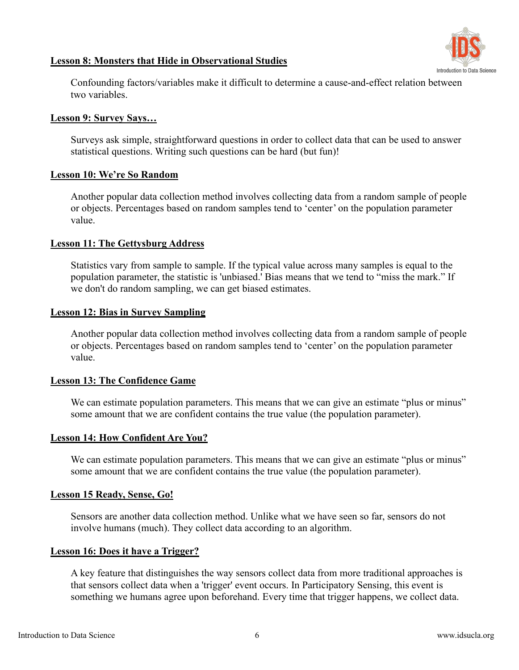

# **Lesson 8: Monsters that Hide in Observational Studies**

Confounding factors/variables make it difficult to determine a cause-and-effect relation between two variables.

#### **Lesson 9: Survey Says…**

Surveys ask simple, straightforward questions in order to collect data that can be used to answer statistical questions. Writing such questions can be hard (but fun)!

#### **Lesson 10: We're So Random**

Another popular data collection method involves collecting data from a random sample of people or objects. Percentages based on random samples tend to 'center' on the population parameter value.

#### **Lesson 11: The Gettysburg Address**

Statistics vary from sample to sample. If the typical value across many samples is equal to the population parameter, the statistic is 'unbiased.' Bias means that we tend to "miss the mark." If we don't do random sampling, we can get biased estimates.

#### **Lesson 12: Bias in Survey Sampling**

Another popular data collection method involves collecting data from a random sample of people or objects. Percentages based on random samples tend to 'center' on the population parameter value.

# **Lesson 13: The Confidence Game**

We can estimate population parameters. This means that we can give an estimate "plus or minus" some amount that we are confident contains the true value (the population parameter).

# **Lesson 14: How Confident Are You?**

We can estimate population parameters. This means that we can give an estimate "plus or minus" some amount that we are confident contains the true value (the population parameter).

# **Lesson 15 Ready, Sense, Go!**

Sensors are another data collection method. Unlike what we have seen so far, sensors do not involve humans (much). They collect data according to an algorithm.

#### **Lesson 16: Does it have a Trigger?**

A key feature that distinguishes the way sensors collect data from more traditional approaches is that sensors collect data when a 'trigger' event occurs. In Participatory Sensing, this event is something we humans agree upon beforehand. Every time that trigger happens, we collect data.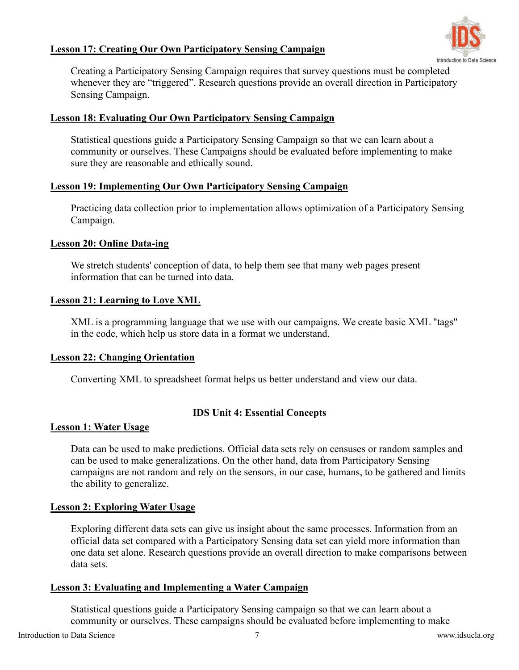# Introduction to Data Science

# **Lesson 17: Creating Our Own Participatory Sensing Campaign**

Creating a Participatory Sensing Campaign requires that survey questions must be completed whenever they are "triggered". Research questions provide an overall direction in Participatory Sensing Campaign.

# **Lesson 18: Evaluating Our Own Participatory Sensing Campaign**

Statistical questions guide a Participatory Sensing Campaign so that we can learn about a community or ourselves. These Campaigns should be evaluated before implementing to make sure they are reasonable and ethically sound.

# **Lesson 19: Implementing Our Own Participatory Sensing Campaign**

Practicing data collection prior to implementation allows optimization of a Participatory Sensing Campaign.

#### **Lesson 20: Online Data-ing**

We stretch students' conception of data, to help them see that many web pages present information that can be turned into data.

#### **Lesson 21: Learning to Love XML**

XML is a programming language that we use with our campaigns. We create basic XML "tags" in the code, which help us store data in a format we understand.

# **Lesson 22: Changing Orientation**

Converting XML to spreadsheet format helps us better understand and view our data.

# **IDS Unit 4: Essential Concepts**

#### **Lesson 1: Water Usage**

Data can be used to make predictions. Official data sets rely on censuses or random samples and can be used to make generalizations. On the other hand, data from Participatory Sensing campaigns are not random and rely on the sensors, in our case, humans, to be gathered and limits the ability to generalize.

# **Lesson 2: Exploring Water Usage**

Exploring different data sets can give us insight about the same processes. Information from an official data set compared with a Participatory Sensing data set can yield more information than one data set alone. Research questions provide an overall direction to make comparisons between data sets.

# **Lesson 3: Evaluating and Implementing a Water Campaign**

Statistical questions guide a Participatory Sensing campaign so that we can learn about a community or ourselves. These campaigns should be evaluated before implementing to make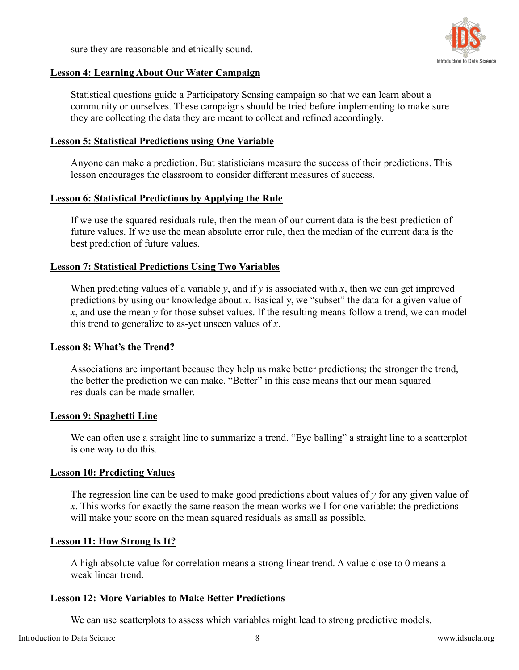sure they are reasonable and ethically sound.



# **Lesson 4: Learning About Our Water Campaign**

Statistical questions guide a Participatory Sensing campaign so that we can learn about a community or ourselves. These campaigns should be tried before implementing to make sure they are collecting the data they are meant to collect and refined accordingly.

# **Lesson 5: Statistical Predictions using One Variable**

Anyone can make a prediction. But statisticians measure the success of their predictions. This lesson encourages the classroom to consider different measures of success.

# **Lesson 6: Statistical Predictions by Applying the Rule**

If we use the squared residuals rule, then the mean of our current data is the best prediction of future values. If we use the mean absolute error rule, then the median of the current data is the best prediction of future values.

# **Lesson 7: Statistical Predictions Using Two Variables**

When predicting values of a variable  $v$ , and if  $v$  is associated with  $x$ , then we can get improved predictions by using our knowledge about *x*. Basically, we "subset" the data for a given value of  $x$ , and use the mean  $y$  for those subset values. If the resulting means follow a trend, we can model this trend to generalize to as-yet unseen values of*x*.

# **Lesson 8: What's the Trend?**

Associations are important because they help us make better predictions; the stronger the trend, the better the prediction we can make. "Better" in this case means that our mean squared residuals can be made smaller.

# **Lesson 9: Spaghetti Line**

We can often use a straight line to summarize a trend. "Eye balling" a straight line to a scatterplot is one way to do this.

# **Lesson 10: Predicting Values**

The regression line can be used to make good predictions about values of*y* for any given value of *x*. This works for exactly the same reason the mean works well for one variable: the predictions will make your score on the mean squared residuals as small as possible.

# **Lesson 11: How Strong Is It?**

A high absolute value for correlation means a strong linear trend. A value close to 0 means a weak linear trend.

# **Lesson 12: More Variables to Make Better Predictions**

We can use scatterplots to assess which variables might lead to strong predictive models.